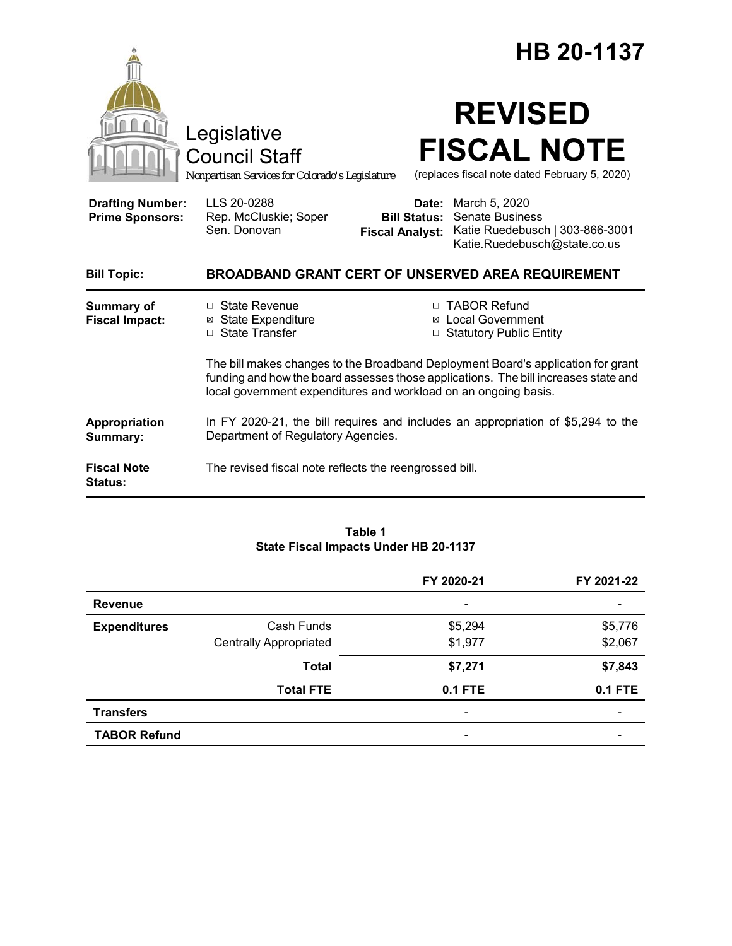|                                                   | Legislative<br><b>Council Staff</b><br>Nonpartisan Services for Colorado's Legislature                                               |                              | HB 20-1137<br><b>REVISED</b><br><b>FISCAL NOTE</b><br>(replaces fiscal note dated February 5, 2020)                                                                                                                                               |
|---------------------------------------------------|--------------------------------------------------------------------------------------------------------------------------------------|------------------------------|---------------------------------------------------------------------------------------------------------------------------------------------------------------------------------------------------------------------------------------------------|
| <b>Drafting Number:</b><br><b>Prime Sponsors:</b> | LLS 20-0288<br>Rep. McCluskie; Soper<br>Sen. Donovan                                                                                 | Date:<br><b>Bill Status:</b> | March 5, 2020<br><b>Senate Business</b><br>Fiscal Analyst: Katie Ruedebusch   303-866-3001<br>Katie.Ruedebusch@state.co.us                                                                                                                        |
| <b>Bill Topic:</b>                                | <b>BROADBAND GRANT CERT OF UNSERVED AREA REQUIREMENT</b>                                                                             |                              |                                                                                                                                                                                                                                                   |
| <b>Summary of</b><br><b>Fiscal Impact:</b>        | □ State Revenue<br><b>⊠</b> State Expenditure<br>□ State Transfer<br>local government expenditures and workload on an ongoing basis. |                              | □ TABOR Refund<br><b>Local Government</b><br>□ Statutory Public Entity<br>The bill makes changes to the Broadband Deployment Board's application for grant<br>funding and how the board assesses those applications. The bill increases state and |
| Appropriation<br>Summary:                         | In FY 2020-21, the bill requires and includes an appropriation of \$5,294 to the<br>Department of Regulatory Agencies.               |                              |                                                                                                                                                                                                                                                   |
| <b>Fiscal Note</b><br><b>Status:</b>              | The revised fiscal note reflects the reengrossed bill.                                                                               |                              |                                                                                                                                                                                                                                                   |

#### **Table 1 State Fiscal Impacts Under HB 20-1137**

|                     |                               | FY 2020-21                   | FY 2021-22               |
|---------------------|-------------------------------|------------------------------|--------------------------|
| <b>Revenue</b>      |                               | $\overline{\phantom{a}}$     |                          |
| <b>Expenditures</b> | Cash Funds                    | \$5,294                      | \$5,776                  |
|                     | <b>Centrally Appropriated</b> | \$1,977                      | \$2,067                  |
|                     | <b>Total</b>                  | \$7,271                      | \$7,843                  |
|                     | <b>Total FTE</b>              | <b>0.1 FTE</b>               | <b>0.1 FTE</b>           |
| <b>Transfers</b>    |                               | $\qquad \qquad \blacksquare$ | $\overline{\phantom{0}}$ |
| <b>TABOR Refund</b> |                               |                              |                          |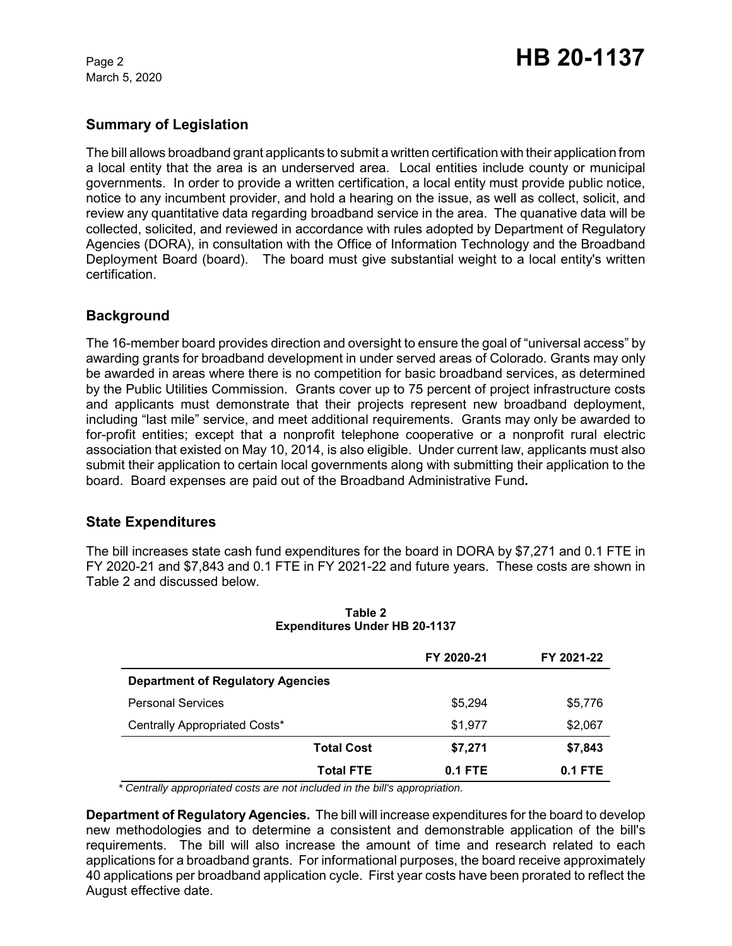March 5, 2020

## **Summary of Legislation**

The bill allows broadband grant applicants to submit a written certification with their application from a local entity that the area is an underserved area. Local entities include county or municipal governments. In order to provide a written certification, a local entity must provide public notice, notice to any incumbent provider, and hold a hearing on the issue, as well as collect, solicit, and review any quantitative data regarding broadband service in the area. The quanative data will be collected, solicited, and reviewed in accordance with rules adopted by Department of Regulatory Agencies (DORA), in consultation with the Office of Information Technology and the Broadband Deployment Board (board). The board must give substantial weight to a local entity's written certification.

# **Background**

The 16-member board provides direction and oversight to ensure the goal of "universal access" by awarding grants for broadband development in under served areas of Colorado. Grants may only be awarded in areas where there is no competition for basic broadband services, as determined by the Public Utilities Commission. Grants cover up to 75 percent of project infrastructure costs and applicants must demonstrate that their projects represent new broadband deployment, including "last mile" service, and meet additional requirements. Grants may only be awarded to for-profit entities; except that a nonprofit telephone cooperative or a nonprofit rural electric association that existed on May 10, 2014, is also eligible. Under current law, applicants must also submit their application to certain local governments along with submitting their application to the board. Board expenses are paid out of the Broadband Administrative Fund**.** 

### **State Expenditures**

The bill increases state cash fund expenditures for the board in DORA by \$7,271 and 0.1 FTE in FY 2020-21 and \$7,843 and 0.1 FTE in FY 2021-22 and future years. These costs are shown in Table 2 and discussed below.

|                                          | FY 2020-21 | FY 2021-22 |
|------------------------------------------|------------|------------|
| <b>Department of Regulatory Agencies</b> |            |            |
| <b>Personal Services</b>                 | \$5.294    | \$5,776    |
| Centrally Appropriated Costs*            | \$1,977    | \$2,067    |
| <b>Total Cost</b>                        | \$7,271    | \$7,843    |
| <b>Total FTE</b>                         | $0.1$ FTE  | $0.1$ FTE  |

**Table 2 Expenditures Under HB 20-1137**

 *\* Centrally appropriated costs are not included in the bill's appropriation.*

**Department of Regulatory Agencies.** The bill will increase expenditures for the board to develop new methodologies and to determine a consistent and demonstrable application of the bill's requirements. The bill will also increase the amount of time and research related to each applications for a broadband grants. For informational purposes, the board receive approximately 40 applications per broadband application cycle. First year costs have been prorated to reflect the August effective date.